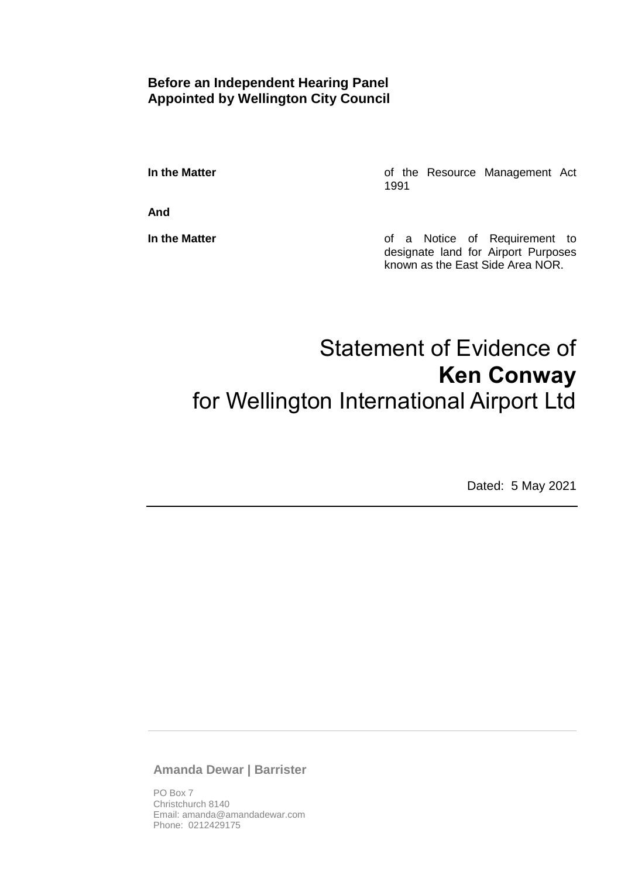# **Before an Independent Hearing Panel Appointed by Wellington City Council**

**In the Matter In the Matter of the Resource Management Act** 1991

**And**

**In the Matter In the Matter of a Notice of Requirement to** designate land for Airport Purposes known as the East Side Area NOR.

# Statement of Evidence of **Ken Conway** for Wellington International Airport Ltd

Dated: 5 May 2021

**Amanda Dewar | Barrister**

PO Box 7 Christchurch 8140 Email: amanda@amandadewar.com Phone: 0212429175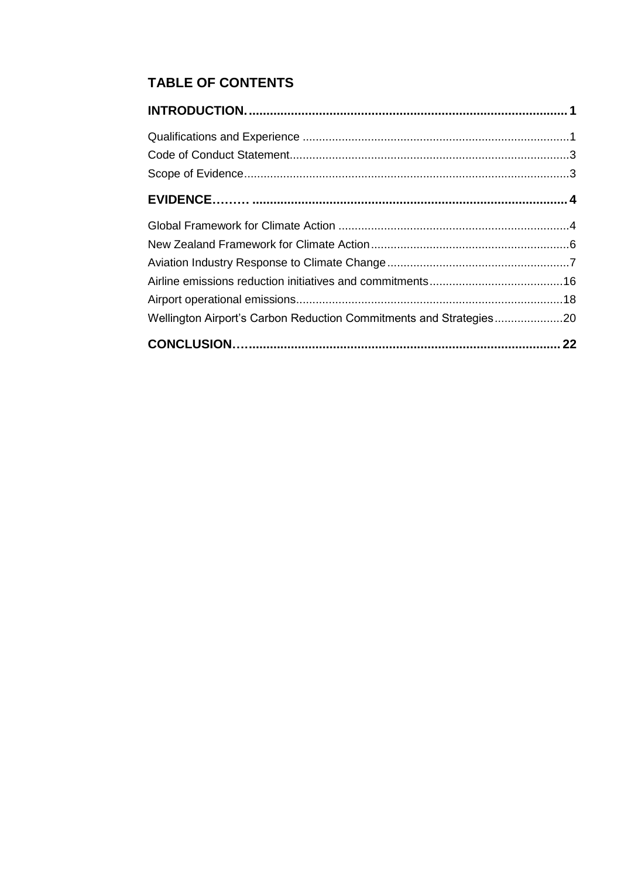# **TABLE OF CONTENTS**

| Wellington Airport's Carbon Reduction Commitments and Strategies20 |  |
|--------------------------------------------------------------------|--|
|                                                                    |  |
|                                                                    |  |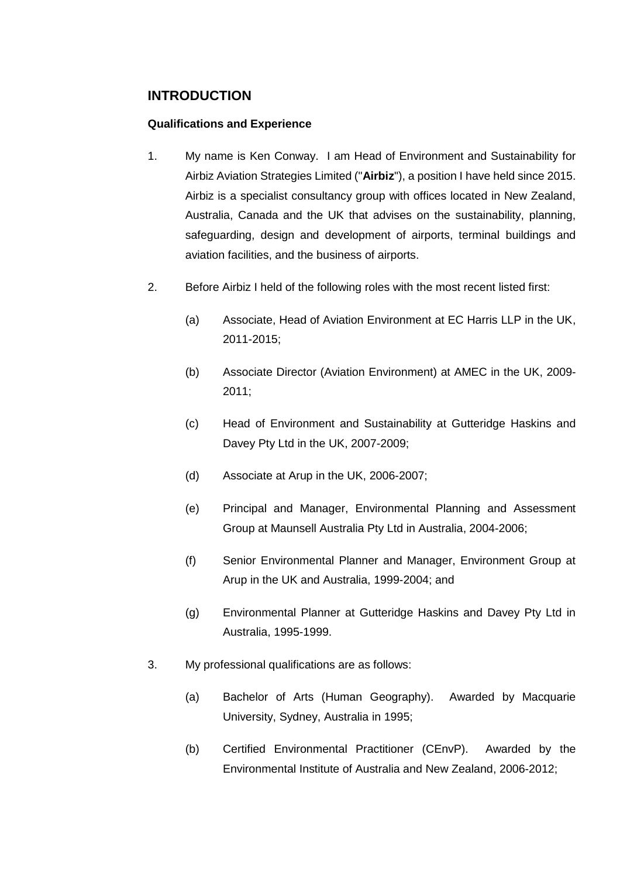# <span id="page-2-0"></span>**INTRODUCTION**

# <span id="page-2-1"></span>**Qualifications and Experience**

- 1. My name is Ken Conway. I am Head of Environment and Sustainability for Airbiz Aviation Strategies Limited ("**Airbiz**"), a position I have held since 2015. Airbiz is a specialist consultancy group with offices located in New Zealand, Australia, Canada and the UK that advises on the sustainability, planning, safeguarding, design and development of airports, terminal buildings and aviation facilities, and the business of airports.
- 2. Before Airbiz I held of the following roles with the most recent listed first:
	- (a) Associate, Head of Aviation Environment at EC Harris LLP in the UK, 2011-2015;
	- (b) Associate Director (Aviation Environment) at AMEC in the UK, 2009- 2011;
	- (c) Head of Environment and Sustainability at Gutteridge Haskins and Davey Pty Ltd in the UK, 2007-2009;
	- (d) Associate at Arup in the UK, 2006-2007;
	- (e) Principal and Manager, Environmental Planning and Assessment Group at Maunsell Australia Pty Ltd in Australia, 2004-2006;
	- (f) Senior Environmental Planner and Manager, Environment Group at Arup in the UK and Australia, 1999-2004; and
	- (g) Environmental Planner at Gutteridge Haskins and Davey Pty Ltd in Australia, 1995-1999.
- 3. My professional qualifications are as follows:
	- (a) Bachelor of Arts (Human Geography). Awarded by Macquarie University, Sydney, Australia in 1995;
	- (b) Certified Environmental Practitioner (CEnvP). Awarded by the Environmental Institute of Australia and New Zealand, 2006-2012;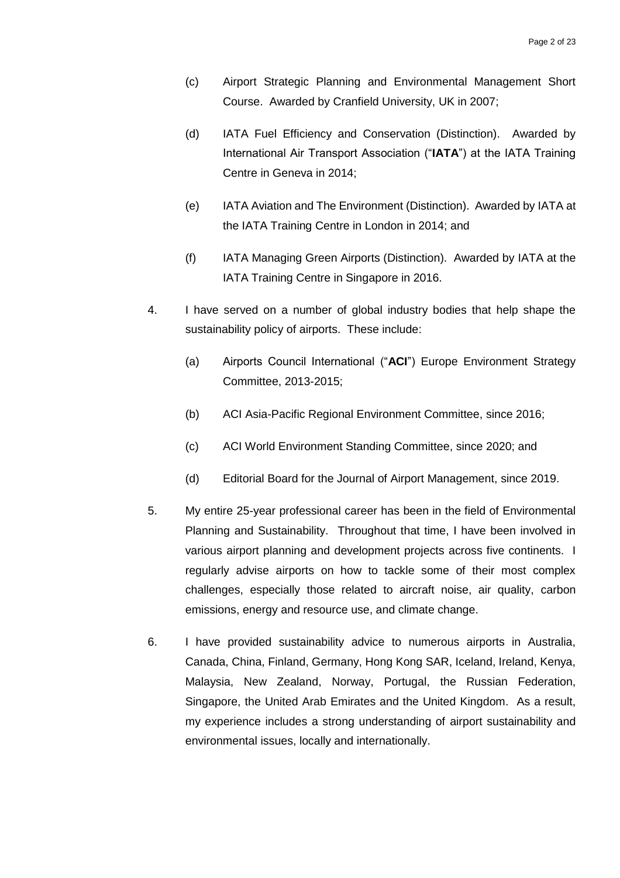- (c) Airport Strategic Planning and Environmental Management Short Course. Awarded by Cranfield University, UK in 2007;
- (d) IATA Fuel Efficiency and Conservation (Distinction). Awarded by International Air Transport Association ("**IATA**") at the IATA Training Centre in Geneva in 2014;
- (e) IATA Aviation and The Environment (Distinction). Awarded by IATA at the IATA Training Centre in London in 2014; and
- (f) IATA Managing Green Airports (Distinction). Awarded by IATA at the IATA Training Centre in Singapore in 2016.
- 4. I have served on a number of global industry bodies that help shape the sustainability policy of airports. These include:
	- (a) Airports Council International ("**ACI**") Europe Environment Strategy Committee, 2013-2015;
	- (b) ACI Asia-Pacific Regional Environment Committee, since 2016;
	- (c) ACI World Environment Standing Committee, since 2020; and
	- (d) Editorial Board for the Journal of Airport Management, since 2019.
- 5. My entire 25-year professional career has been in the field of Environmental Planning and Sustainability. Throughout that time, I have been involved in various airport planning and development projects across five continents. I regularly advise airports on how to tackle some of their most complex challenges, especially those related to aircraft noise, air quality, carbon emissions, energy and resource use, and climate change.
- 6. I have provided sustainability advice to numerous airports in Australia, Canada, China, Finland, Germany, Hong Kong SAR, Iceland, Ireland, Kenya, Malaysia, New Zealand, Norway, Portugal, the Russian Federation, Singapore, the United Arab Emirates and the United Kingdom. As a result, my experience includes a strong understanding of airport sustainability and environmental issues, locally and internationally.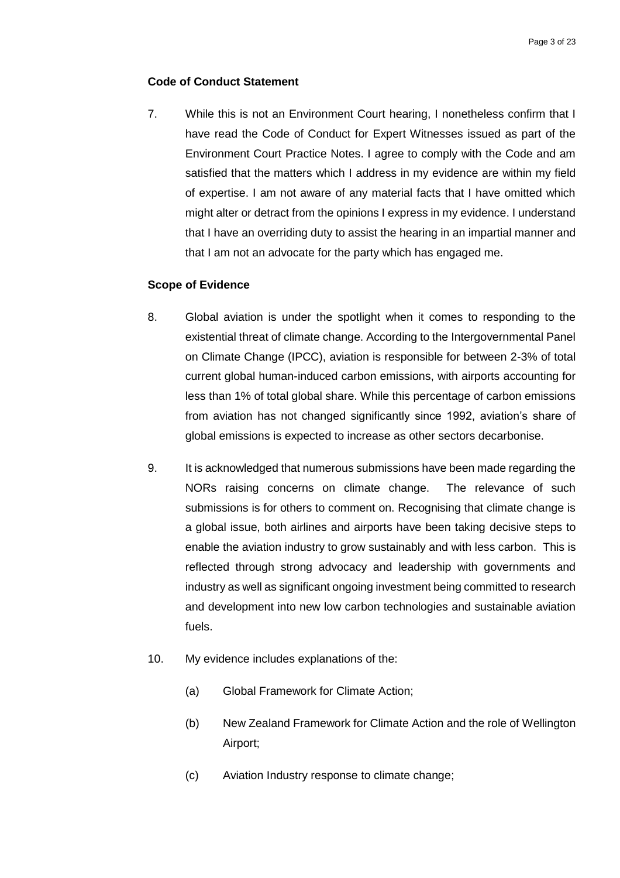# <span id="page-4-0"></span>**Code of Conduct Statement**

7. While this is not an Environment Court hearing, I nonetheless confirm that I have read the Code of Conduct for Expert Witnesses issued as part of the Environment Court Practice Notes. I agree to comply with the Code and am satisfied that the matters which I address in my evidence are within my field of expertise. I am not aware of any material facts that I have omitted which might alter or detract from the opinions I express in my evidence. I understand that I have an overriding duty to assist the hearing in an impartial manner and that I am not an advocate for the party which has engaged me.

#### <span id="page-4-1"></span>**Scope of Evidence**

- 8. Global aviation is under the spotlight when it comes to responding to the existential threat of climate change. According to the Intergovernmental Panel on Climate Change (IPCC), aviation is responsible for between 2-3% of total current global human-induced carbon emissions, with airports accounting for less than 1% of total global share. While this percentage of carbon emissions from aviation has not changed significantly since 1992, aviation's share of global emissions is expected to increase as other sectors decarbonise.
- 9. It is acknowledged that numerous submissions have been made regarding the NORs raising concerns on climate change. The relevance of such submissions is for others to comment on. Recognising that climate change is a global issue, both airlines and airports have been taking decisive steps to enable the aviation industry to grow sustainably and with less carbon. This is reflected through strong advocacy and leadership with governments and industry as well as significant ongoing investment being committed to research and development into new low carbon technologies and sustainable aviation fuels.
- 10. My evidence includes explanations of the:
	- (a) Global Framework for Climate Action;
	- (b) New Zealand Framework for Climate Action and the role of Wellington Airport;
	- (c) Aviation Industry response to climate change;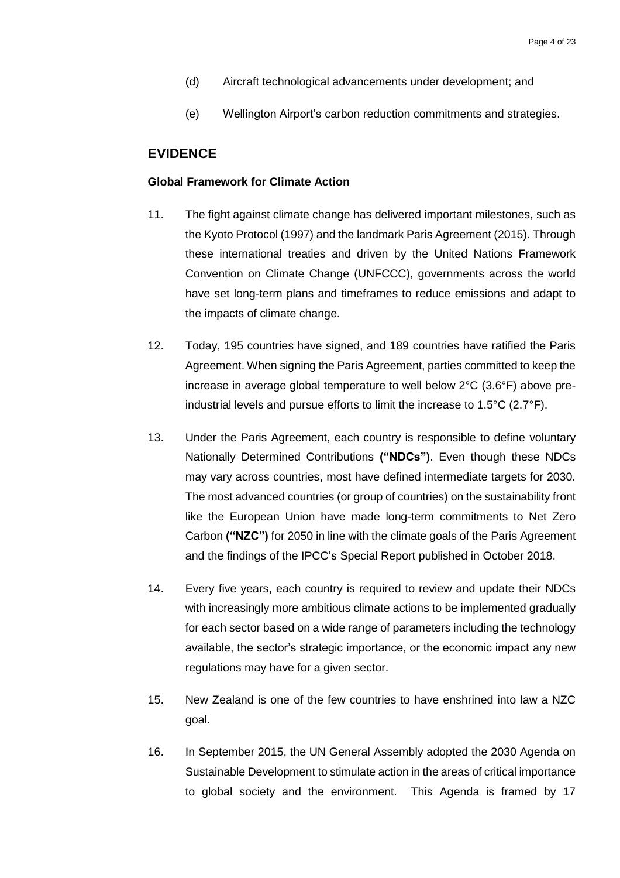- (d) Aircraft technological advancements under development; and
- (e) Wellington Airport's carbon reduction commitments and strategies.

# <span id="page-5-0"></span>**EVIDENCE**

#### <span id="page-5-1"></span>**Global Framework for Climate Action**

- 11. The fight against climate change has delivered important milestones, such as the Kyoto Protocol (1997) and the landmark Paris Agreement (2015). Through these international treaties and driven by the United Nations Framework Convention on Climate Change (UNFCCC), governments across the world have set long-term plans and timeframes to reduce emissions and adapt to the impacts of climate change.
- 12. Today, 195 countries have signed, and 189 countries have ratified the Paris Agreement. When signing the Paris Agreement, parties committed to keep the increase in average global temperature to well below 2°C (3.6°F) above preindustrial levels and pursue efforts to limit the increase to 1.5°C (2.7°F).
- 13. Under the Paris Agreement, each country is responsible to define voluntary Nationally Determined Contributions **("NDCs")**. Even though these NDCs may vary across countries, most have defined intermediate targets for 2030. The most advanced countries (or group of countries) on the sustainability front like the European Union have made long-term commitments to Net Zero Carbon **("NZC")** for 2050 in line with the climate goals of the Paris Agreement and the findings of the IPCC's Special Report published in October 2018.
- 14. Every five years, each country is required to review and update their NDCs with increasingly more ambitious climate actions to be implemented gradually for each sector based on a wide range of parameters including the technology available, the sector's strategic importance, or the economic impact any new regulations may have for a given sector.
- 15. New Zealand is one of the few countries to have enshrined into law a NZC goal.
- 16. In September 2015, the UN General Assembly adopted the 2030 Agenda on Sustainable Development to stimulate action in the areas of critical importance to global society and the environment. This Agenda is framed by 17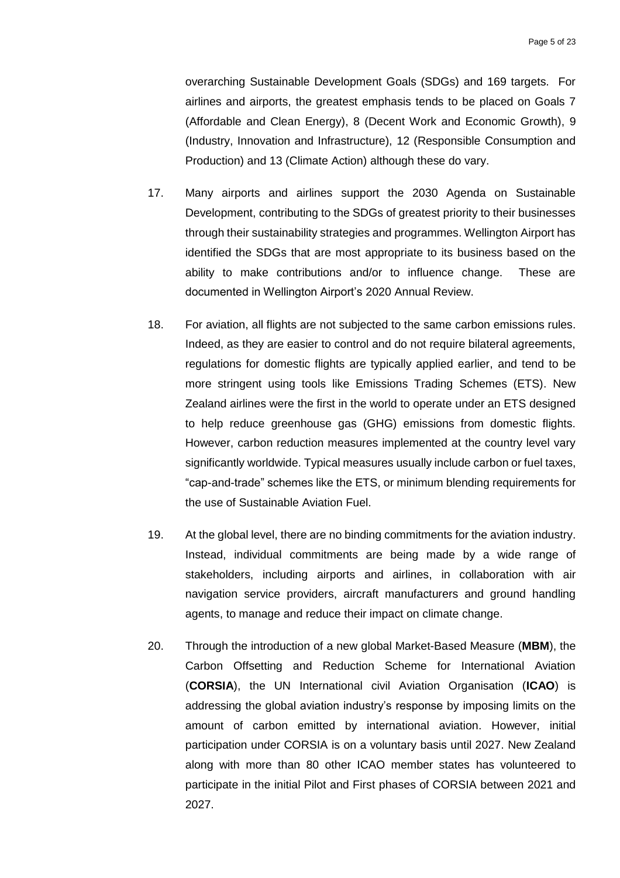overarching Sustainable Development Goals (SDGs) and 169 targets. For airlines and airports, the greatest emphasis tends to be placed on Goals 7 (Affordable and Clean Energy), 8 (Decent Work and Economic Growth), 9 (Industry, Innovation and Infrastructure), 12 (Responsible Consumption and Production) and 13 (Climate Action) although these do vary.

- 17. Many airports and airlines support the 2030 Agenda on Sustainable Development, contributing to the SDGs of greatest priority to their businesses through their sustainability strategies and programmes. Wellington Airport has identified the SDGs that are most appropriate to its business based on the ability to make contributions and/or to influence change. These are documented in Wellington Airport's 2020 Annual Review.
- 18. For aviation, all flights are not subjected to the same carbon emissions rules. Indeed, as they are easier to control and do not require bilateral agreements, regulations for domestic flights are typically applied earlier, and tend to be more stringent using tools like Emissions Trading Schemes (ETS). New Zealand airlines were the first in the world to operate under an ETS designed to help reduce greenhouse gas (GHG) emissions from domestic flights. However, carbon reduction measures implemented at the country level vary significantly worldwide. Typical measures usually include carbon or fuel taxes, "cap-and-trade" schemes like the ETS, or minimum blending requirements for the use of Sustainable Aviation Fuel.
- 19. At the global level, there are no binding commitments for the aviation industry. Instead, individual commitments are being made by a wide range of stakeholders, including airports and airlines, in collaboration with air navigation service providers, aircraft manufacturers and ground handling agents, to manage and reduce their impact on climate change.
- 20. Through the introduction of a new global Market-Based Measure (**MBM**), the Carbon Offsetting and Reduction Scheme for International Aviation (**CORSIA**), the UN International civil Aviation Organisation (**ICAO**) is addressing the global aviation industry's response by imposing limits on the amount of carbon emitted by international aviation. However, initial participation under CORSIA is on a voluntary basis until 2027. New Zealand along with more than 80 other ICAO member states has volunteered to participate in the initial Pilot and First phases of CORSIA between 2021 and 2027.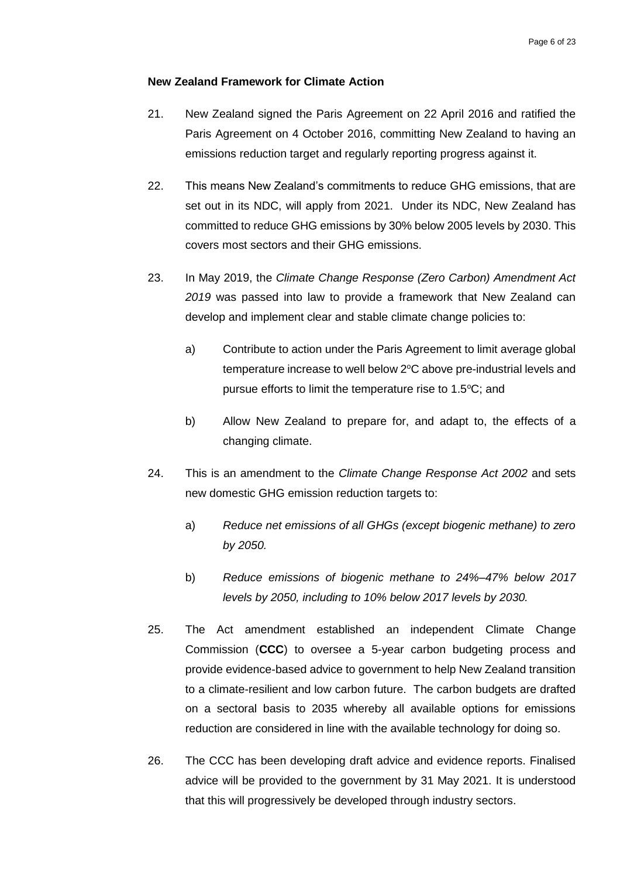# <span id="page-7-0"></span>**New Zealand Framework for Climate Action**

- 21. New Zealand signed the Paris Agreement on 22 April 2016 and ratified the Paris Agreement on 4 October 2016, committing New Zealand to having an emissions reduction target and regularly reporting progress against it.
- 22. This means New Zealand's commitments to reduce GHG emissions, that are set out in its NDC, will apply from 2021. Under its NDC, New Zealand has committed to reduce GHG emissions by 30% below 2005 levels by 2030. This covers most sectors and their GHG emissions.
- 23. In May 2019, the *Climate Change Response (Zero Carbon) Amendment Act 2019* was passed into law to provide a framework that New Zealand can develop and implement clear and stable climate change policies to:
	- a) Contribute to action under the Paris Agreement to limit average global temperature increase to well below 2°C above pre-industrial levels and pursue efforts to limit the temperature rise to  $1.5\textdegree C$ ; and
	- b) Allow New Zealand to prepare for, and adapt to, the effects of a changing climate.
- 24. This is an amendment to the *Climate Change Response Act 2002* and sets new domestic GHG emission reduction targets to:
	- a) *Reduce net emissions of all GHGs (except biogenic methane) to zero by 2050.*
	- b) *Reduce emissions of biogenic methane to 24%–47% below 2017 levels by 2050, including to 10% below 2017 levels by 2030.*
- 25. The Act amendment established an independent Climate Change Commission (**CCC**) to oversee a 5-year carbon budgeting process and provide evidence-based advice to government to help New Zealand transition to a climate-resilient and low carbon future. The carbon budgets are drafted on a sectoral basis to 2035 whereby all available options for emissions reduction are considered in line with the available technology for doing so.
- 26. The CCC has been developing draft advice and evidence reports. Finalised advice will be provided to the government by 31 May 2021. It is understood that this will progressively be developed through industry sectors.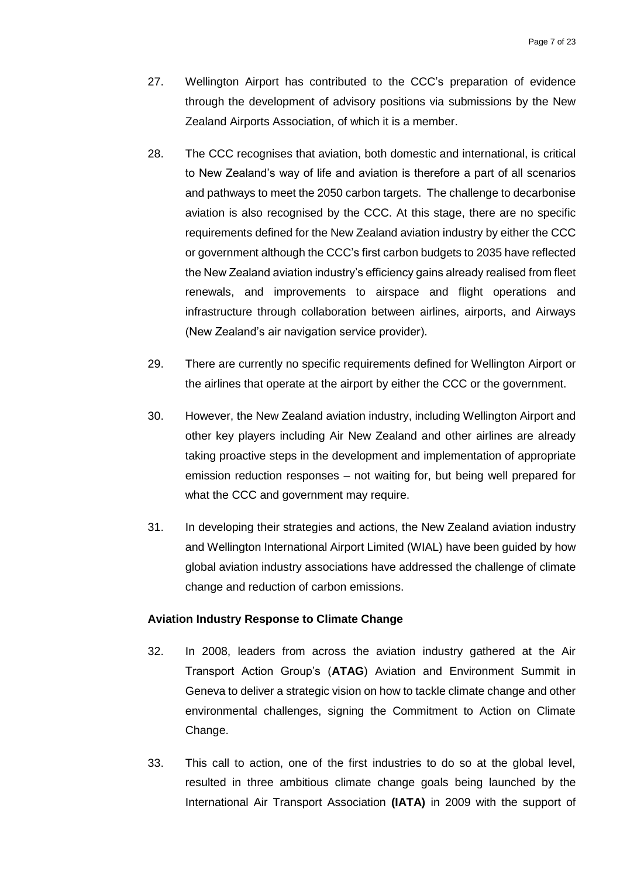- 27. Wellington Airport has contributed to the CCC's preparation of evidence through the development of advisory positions via submissions by the New Zealand Airports Association, of which it is a member.
- 28. The CCC recognises that aviation, both domestic and international, is critical to New Zealand's way of life and aviation is therefore a part of all scenarios and pathways to meet the 2050 carbon targets. The challenge to decarbonise aviation is also recognised by the CCC. At this stage, there are no specific requirements defined for the New Zealand aviation industry by either the CCC or government although the CCC's first carbon budgets to 2035 have reflected the New Zealand aviation industry's efficiency gains already realised from fleet renewals, and improvements to airspace and flight operations and infrastructure through collaboration between airlines, airports, and Airways (New Zealand's air navigation service provider).
- 29. There are currently no specific requirements defined for Wellington Airport or the airlines that operate at the airport by either the CCC or the government.
- 30. However, the New Zealand aviation industry, including Wellington Airport and other key players including Air New Zealand and other airlines are already taking proactive steps in the development and implementation of appropriate emission reduction responses – not waiting for, but being well prepared for what the CCC and government may require.
- 31. In developing their strategies and actions, the New Zealand aviation industry and Wellington International Airport Limited (WIAL) have been guided by how global aviation industry associations have addressed the challenge of climate change and reduction of carbon emissions.

#### <span id="page-8-0"></span>**Aviation Industry Response to Climate Change**

- 32. In 2008, leaders from across the aviation industry gathered at the Air Transport Action Group's (**ATAG**) Aviation and Environment Summit in Geneva to deliver a strategic vision on how to tackle climate change and other environmental challenges, signing the Commitment to Action on Climate Change.
- 33. This call to action, one of the first industries to do so at the global level, resulted in three ambitious climate change goals being launched by the International Air Transport Association **(IATA)** in 2009 with the support of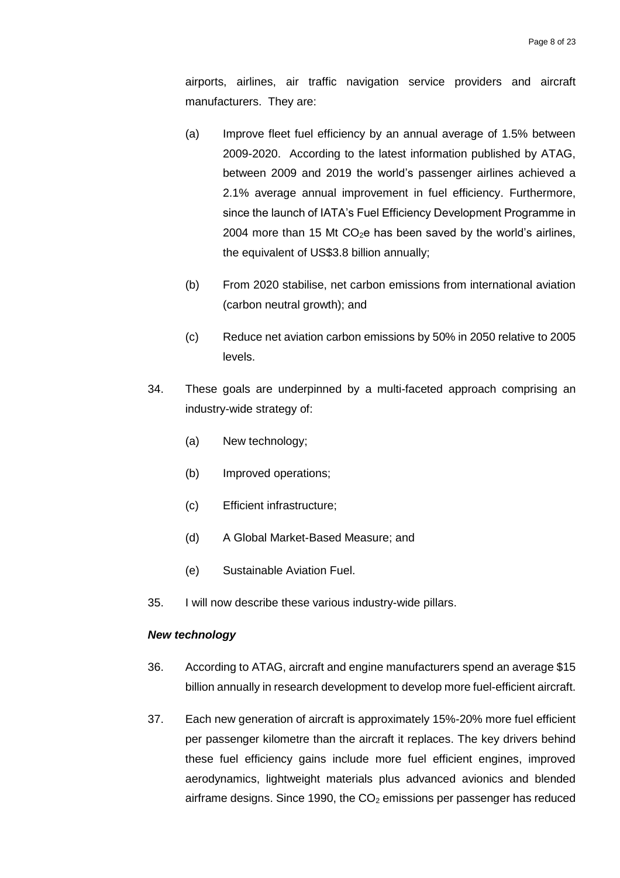airports, airlines, air traffic navigation service providers and aircraft manufacturers. They are:

- (a) Improve fleet fuel efficiency by an annual average of 1.5% between 2009-2020. According to the latest information published by ATAG, between 2009 and 2019 the world's passenger airlines achieved a 2.1% average annual improvement in fuel efficiency. Furthermore, since the launch of IATA's Fuel Efficiency Development Programme in 2004 more than 15 Mt  $CO<sub>2</sub>e$  has been saved by the world's airlines, the equivalent of US\$3.8 billion annually;
- (b) From 2020 stabilise, net carbon emissions from international aviation (carbon neutral growth); and
- (c) Reduce net aviation carbon emissions by 50% in 2050 relative to 2005 levels.
- 34. These goals are underpinned by a multi-faceted approach comprising an industry-wide strategy of:
	- (a) New technology;
	- (b) Improved operations;
	- (c) Efficient infrastructure;
	- (d) A Global Market-Based Measure; and
	- (e) Sustainable Aviation Fuel.
- 35. I will now describe these various industry-wide pillars.

# *New technology*

- 36. According to ATAG, aircraft and engine manufacturers spend an average \$15 billion annually in research development to develop more fuel-efficient aircraft.
- 37. Each new generation of aircraft is approximately 15%-20% more fuel efficient per passenger kilometre than the aircraft it replaces. The key drivers behind these fuel efficiency gains include more fuel efficient engines, improved aerodynamics, lightweight materials plus advanced avionics and blended airframe designs. Since 1990, the  $CO<sub>2</sub>$  emissions per passenger has reduced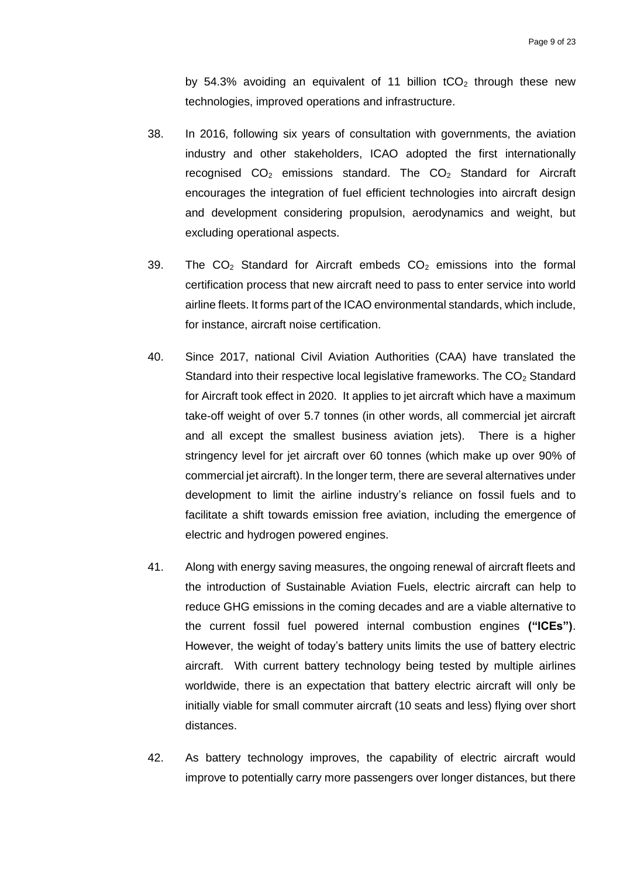by 54.3% avoiding an equivalent of 11 billion  $tCO<sub>2</sub>$  through these new technologies, improved operations and infrastructure.

- 38. In 2016, following six years of consultation with governments, the aviation industry and other stakeholders, ICAO adopted the first internationally recognised  $CO<sub>2</sub>$  emissions standard. The  $CO<sub>2</sub>$  Standard for Aircraft encourages the integration of fuel efficient technologies into aircraft design and development considering propulsion, aerodynamics and weight, but excluding operational aspects.
- 39. The  $CO<sub>2</sub>$  Standard for Aircraft embeds  $CO<sub>2</sub>$  emissions into the formal certification process that new aircraft need to pass to enter service into world airline fleets. It forms part of the ICAO environmental standards, which include, for instance, aircraft noise certification.
- 40. Since 2017, national Civil Aviation Authorities (CAA) have translated the Standard into their respective local legislative frameworks. The  $CO<sub>2</sub>$  Standard for Aircraft took effect in 2020. It applies to jet aircraft which have a maximum take-off weight of over 5.7 tonnes (in other words, all commercial jet aircraft and all except the smallest business aviation jets). There is a higher stringency level for jet aircraft over 60 tonnes (which make up over 90% of commercial jet aircraft). In the longer term, there are several alternatives under development to limit the airline industry's reliance on fossil fuels and to facilitate a shift towards emission free aviation, including the emergence of electric and hydrogen powered engines.
- 41. Along with energy saving measures, the ongoing renewal of aircraft fleets and the introduction of Sustainable Aviation Fuels, electric aircraft can help to reduce GHG emissions in the coming decades and are a viable alternative to the current fossil fuel powered internal combustion engines **("ICEs")**. However, the weight of today's battery units limits the use of battery electric aircraft. With current battery technology being tested by multiple airlines worldwide, there is an expectation that battery electric aircraft will only be initially viable for small commuter aircraft (10 seats and less) flying over short distances.
- 42. As battery technology improves, the capability of electric aircraft would improve to potentially carry more passengers over longer distances, but there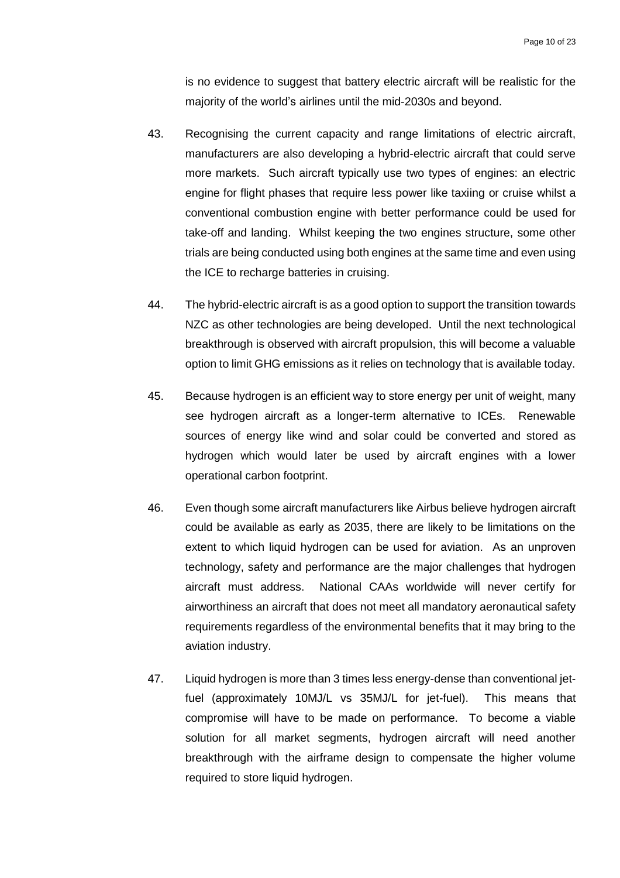is no evidence to suggest that battery electric aircraft will be realistic for the majority of the world's airlines until the mid-2030s and beyond.

- 43. Recognising the current capacity and range limitations of electric aircraft, manufacturers are also developing a hybrid-electric aircraft that could serve more markets. Such aircraft typically use two types of engines: an electric engine for flight phases that require less power like taxiing or cruise whilst a conventional combustion engine with better performance could be used for take-off and landing. Whilst keeping the two engines structure, some other trials are being conducted using both engines at the same time and even using the ICE to recharge batteries in cruising.
- 44. The hybrid-electric aircraft is as a good option to support the transition towards NZC as other technologies are being developed. Until the next technological breakthrough is observed with aircraft propulsion, this will become a valuable option to limit GHG emissions as it relies on technology that is available today.
- 45. Because hydrogen is an efficient way to store energy per unit of weight, many see hydrogen aircraft as a longer-term alternative to ICEs. Renewable sources of energy like wind and solar could be converted and stored as hydrogen which would later be used by aircraft engines with a lower operational carbon footprint.
- 46. Even though some aircraft manufacturers like Airbus believe hydrogen aircraft could be available as early as 2035, there are likely to be limitations on the extent to which liquid hydrogen can be used for aviation. As an unproven technology, safety and performance are the major challenges that hydrogen aircraft must address. National CAAs worldwide will never certify for airworthiness an aircraft that does not meet all mandatory aeronautical safety requirements regardless of the environmental benefits that it may bring to the aviation industry.
- 47. Liquid hydrogen is more than 3 times less energy-dense than conventional jetfuel (approximately 10MJ/L vs 35MJ/L for jet-fuel). This means that compromise will have to be made on performance. To become a viable solution for all market segments, hydrogen aircraft will need another breakthrough with the airframe design to compensate the higher volume required to store liquid hydrogen.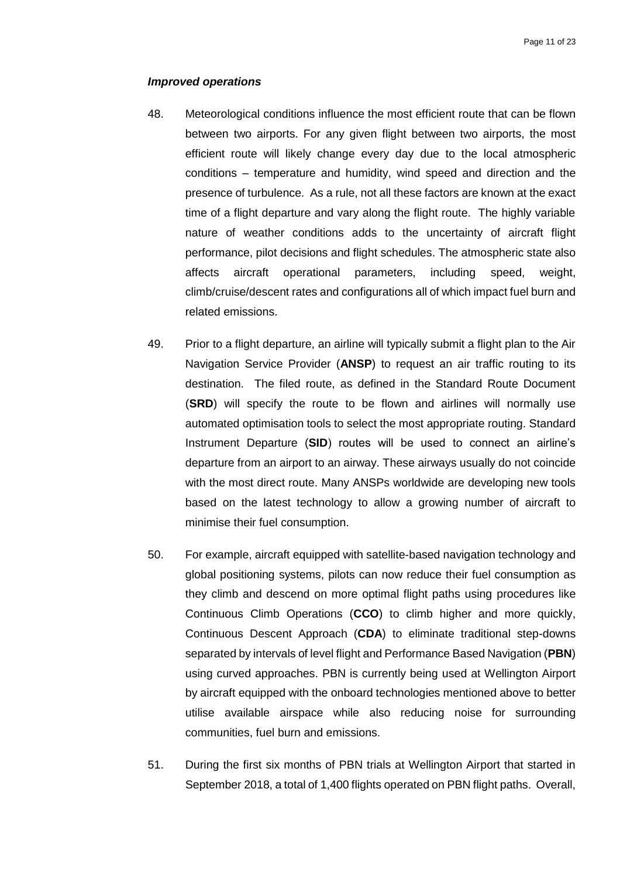#### *Improved operations*

- 48. Meteorological conditions influence the most efficient route that can be flown between two airports. For any given flight between two airports, the most efficient route will likely change every day due to the local atmospheric conditions – temperature and humidity, wind speed and direction and the presence of turbulence. As a rule, not all these factors are known at the exact time of a flight departure and vary along the flight route. The highly variable nature of weather conditions adds to the uncertainty of aircraft flight performance, pilot decisions and flight schedules. The atmospheric state also affects aircraft operational parameters, including speed, weight, climb/cruise/descent rates and configurations all of which impact fuel burn and related emissions.
- 49. Prior to a flight departure, an airline will typically submit a flight plan to the Air Navigation Service Provider (**ANSP**) to request an air traffic routing to its destination. The filed route, as defined in the Standard Route Document (**SRD**) will specify the route to be flown and airlines will normally use automated optimisation tools to select the most appropriate routing. Standard Instrument Departure (**SID**) routes will be used to connect an airline's departure from an airport to an airway. These airways usually do not coincide with the most direct route. Many ANSPs worldwide are developing new tools based on the latest technology to allow a growing number of aircraft to minimise their fuel consumption.
- 50. For example, aircraft equipped with satellite-based navigation technology and global positioning systems, pilots can now reduce their fuel consumption as they climb and descend on more optimal flight paths using procedures like Continuous Climb Operations (**CCO**) to climb higher and more quickly, Continuous Descent Approach (**CDA**) to eliminate traditional step-downs separated by intervals of level flight and Performance Based Navigation (**PBN**) using curved approaches. PBN is currently being used at Wellington Airport by aircraft equipped with the onboard technologies mentioned above to better utilise available airspace while also reducing noise for surrounding communities, fuel burn and emissions.
- 51. During the first six months of PBN trials at Wellington Airport that started in September 2018, a total of 1,400 flights operated on PBN flight paths. Overall,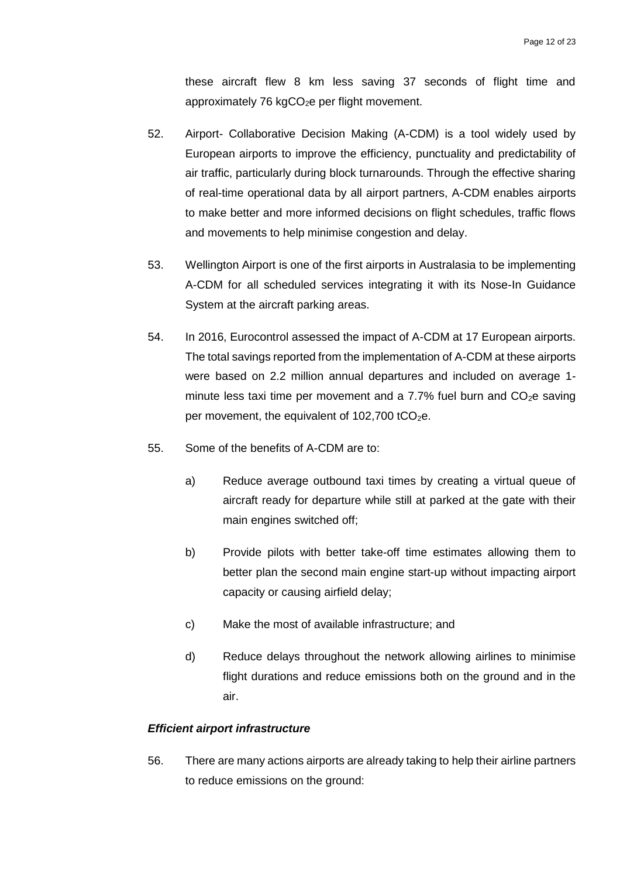these aircraft flew 8 km less saving 37 seconds of flight time and approximately 76  $kgCO<sub>2</sub>e$  per flight movement.

- 52. Airport- Collaborative Decision Making (A-CDM) is a tool widely used by European airports to improve the efficiency, punctuality and predictability of air traffic, particularly during block turnarounds. Through the effective sharing of real-time operational data by all airport partners, A-CDM enables airports to make better and more informed decisions on flight schedules, traffic flows and movements to help minimise congestion and delay.
- 53. Wellington Airport is one of the first airports in Australasia to be implementing A-CDM for all scheduled services integrating it with its Nose-In Guidance System at the aircraft parking areas.
- 54. In 2016, Eurocontrol assessed the impact of A-CDM at 17 European airports. The total savings reported from the implementation of A-CDM at these airports were based on 2.2 million annual departures and included on average 1 minute less taxi time per movement and a 7.7% fuel burn and  $CO<sub>2</sub>e$  saving per movement, the equivalent of  $102,700$  tCO<sub>2</sub>e.
- 55. Some of the benefits of A-CDM are to:
	- a) Reduce average outbound taxi times by creating a virtual queue of aircraft ready for departure while still at parked at the gate with their main engines switched off;
	- b) Provide pilots with better take-off time estimates allowing them to better plan the second main engine start-up without impacting airport capacity or causing airfield delay;
	- c) Make the most of available infrastructure; and
	- d) Reduce delays throughout the network allowing airlines to minimise flight durations and reduce emissions both on the ground and in the air.

#### *Efficient airport infrastructure*

56. There are many actions airports are already taking to help their airline partners to reduce emissions on the ground: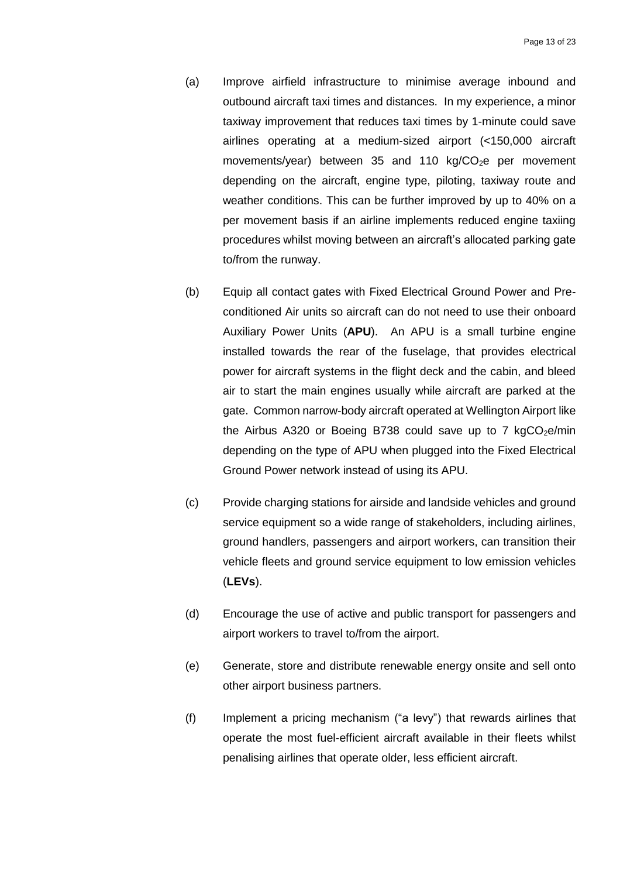- (a) Improve airfield infrastructure to minimise average inbound and outbound aircraft taxi times and distances. In my experience, a minor taxiway improvement that reduces taxi times by 1-minute could save airlines operating at a medium-sized airport (<150,000 aircraft movements/year) between 35 and 110 kg/ $CO<sub>2</sub>e$  per movement depending on the aircraft, engine type, piloting, taxiway route and weather conditions. This can be further improved by up to 40% on a per movement basis if an airline implements reduced engine taxiing procedures whilst moving between an aircraft's allocated parking gate to/from the runway.
- (b) Equip all contact gates with Fixed Electrical Ground Power and Preconditioned Air units so aircraft can do not need to use their onboard Auxiliary Power Units (**APU**). An APU is a small turbine engine installed towards the rear of the fuselage, that provides electrical power for aircraft systems in the flight deck and the cabin, and bleed air to start the main engines usually while aircraft are parked at the gate. Common narrow-body aircraft operated at Wellington Airport like the Airbus A320 or Boeing B738 could save up to 7  $kgCO<sub>2</sub>e/min$ depending on the type of APU when plugged into the Fixed Electrical Ground Power network instead of using its APU.
- (c) Provide charging stations for airside and landside vehicles and ground service equipment so a wide range of stakeholders, including airlines, ground handlers, passengers and airport workers, can transition their vehicle fleets and ground service equipment to low emission vehicles (**LEVs**).
- (d) Encourage the use of active and public transport for passengers and airport workers to travel to/from the airport.
- (e) Generate, store and distribute renewable energy onsite and sell onto other airport business partners.
- (f) Implement a pricing mechanism ("a levy") that rewards airlines that operate the most fuel-efficient aircraft available in their fleets whilst penalising airlines that operate older, less efficient aircraft.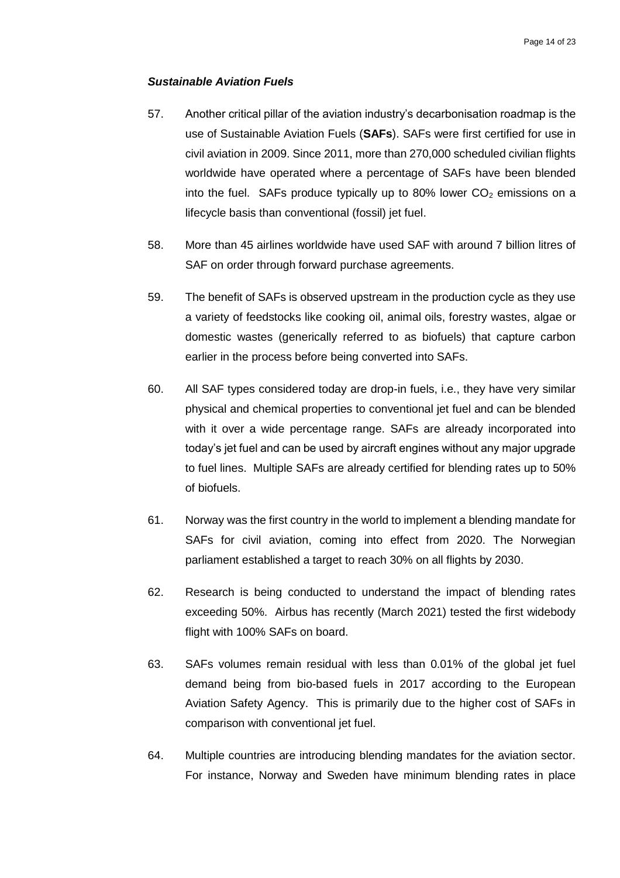#### *Sustainable Aviation Fuels*

- 57. Another critical pillar of the aviation industry's decarbonisation roadmap is the use of Sustainable Aviation Fuels (**SAFs**). SAFs were first certified for use in civil aviation in 2009. Since 2011, more than 270,000 scheduled civilian flights worldwide have operated where a percentage of SAFs have been blended into the fuel. SAFs produce typically up to 80% lower  $CO<sub>2</sub>$  emissions on a lifecycle basis than conventional (fossil) jet fuel.
- 58. More than 45 airlines worldwide have used SAF with around 7 billion litres of SAF on order through forward purchase agreements.
- 59. The benefit of SAFs is observed upstream in the production cycle as they use a variety of feedstocks like cooking oil, animal oils, forestry wastes, algae or domestic wastes (generically referred to as biofuels) that capture carbon earlier in the process before being converted into SAFs.
- 60. All SAF types considered today are drop-in fuels, i.e., they have very similar physical and chemical properties to conventional jet fuel and can be blended with it over a wide percentage range. SAFs are already incorporated into today's jet fuel and can be used by aircraft engines without any major upgrade to fuel lines. Multiple SAFs are already certified for blending rates up to 50% of biofuels.
- 61. Norway was the first country in the world to implement a blending mandate for SAFs for civil aviation, coming into effect from 2020. The Norwegian parliament established a target to reach 30% on all flights by 2030.
- 62. Research is being conducted to understand the impact of blending rates exceeding 50%. Airbus has recently (March 2021) tested the first widebody flight with 100% SAFs on board.
- 63. SAFs volumes remain residual with less than 0.01% of the global jet fuel demand being from bio-based fuels in 2017 according to the European Aviation Safety Agency. This is primarily due to the higher cost of SAFs in comparison with conventional jet fuel.
- 64. Multiple countries are introducing blending mandates for the aviation sector. For instance, Norway and Sweden have minimum blending rates in place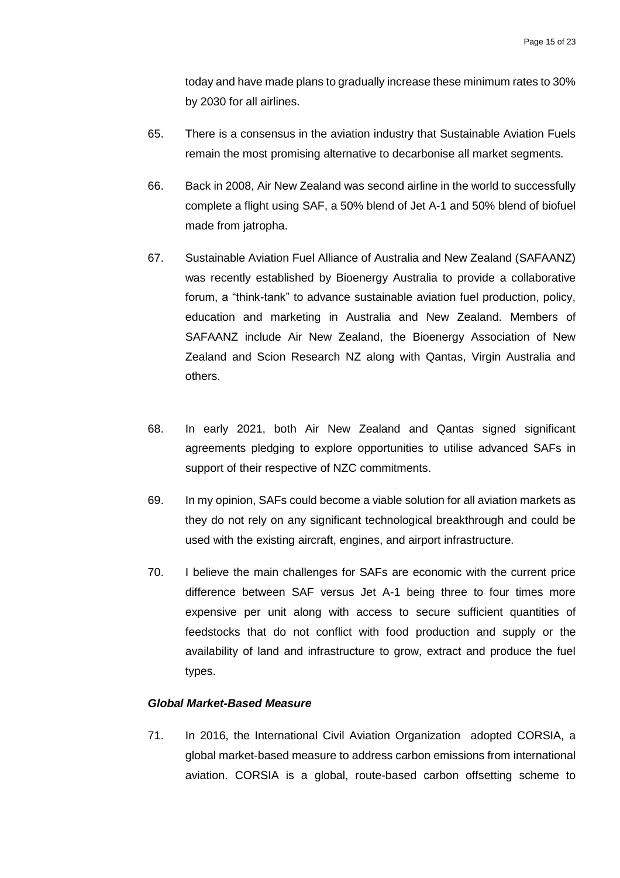today and have made plans to gradually increase these minimum rates to 30% by 2030 for all airlines.

- 65. There is a consensus in the aviation industry that Sustainable Aviation Fuels remain the most promising alternative to decarbonise all market segments.
- 66. Back in 2008, Air New Zealand was second airline in the world to successfully complete a flight using SAF, a 50% blend of Jet A-1 and 50% blend of biofuel made from jatropha.
- 67. Sustainable Aviation Fuel Alliance of Australia and New Zealand (SAFAANZ) was recently established by Bioenergy Australia to provide a collaborative forum, a "think-tank" to advance sustainable aviation fuel production, policy, education and marketing in Australia and New Zealand. Members of SAFAANZ include Air New Zealand, the Bioenergy Association of New Zealand and Scion Research NZ along with Qantas, Virgin Australia and others.
- 68. In early 2021, both Air New Zealand and Qantas signed significant agreements pledging to explore opportunities to utilise advanced SAFs in support of their respective of NZC commitments.
- 69. In my opinion, SAFs could become a viable solution for all aviation markets as they do not rely on any significant technological breakthrough and could be used with the existing aircraft, engines, and airport infrastructure.
- 70. I believe the main challenges for SAFs are economic with the current price difference between SAF versus Jet A-1 being three to four times more expensive per unit along with access to secure sufficient quantities of feedstocks that do not conflict with food production and supply or the availability of land and infrastructure to grow, extract and produce the fuel types.

# *Global Market-Based Measure*

71. In 2016, the International Civil Aviation Organization adopted CORSIA, a global market-based measure to address carbon emissions from international aviation. CORSIA is a global, route-based carbon offsetting scheme to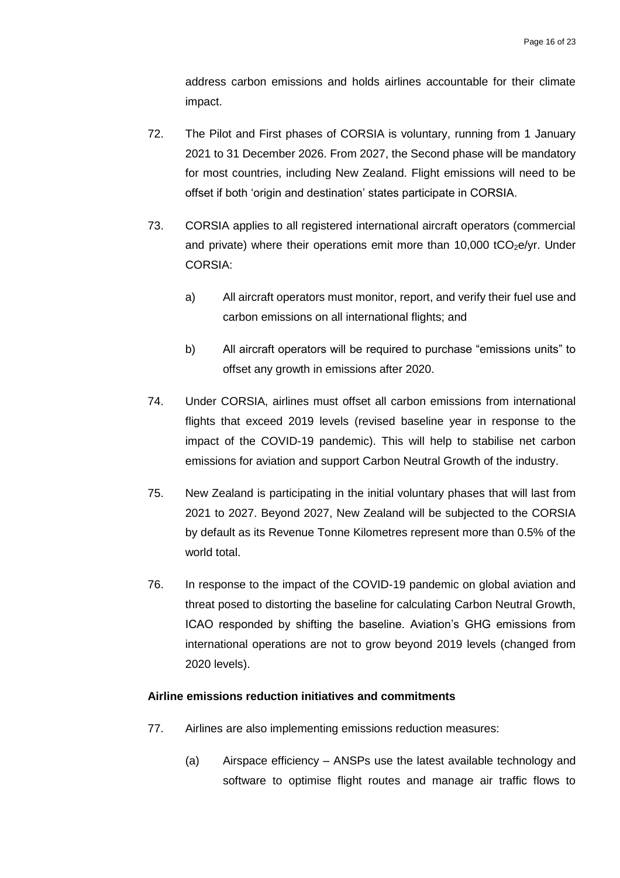address carbon emissions and holds airlines accountable for their climate impact.

- 72. The Pilot and First phases of CORSIA is voluntary, running from 1 January 2021 to 31 December 2026. From 2027, the Second phase will be mandatory for most countries, including New Zealand. Flight emissions will need to be offset if both 'origin and destination' states participate in CORSIA.
- 73. CORSIA applies to all registered international aircraft operators (commercial and private) where their operations emit more than  $10,000$  tCO<sub>2</sub>e/yr. Under CORSIA:
	- a) All aircraft operators must monitor, report, and verify their fuel use and carbon emissions on all international flights; and
	- b) All aircraft operators will be required to purchase "emissions units" to offset any growth in emissions after 2020.
- 74. Under CORSIA, airlines must offset all carbon emissions from international flights that exceed 2019 levels (revised baseline year in response to the impact of the COVID-19 pandemic). This will help to stabilise net carbon emissions for aviation and support Carbon Neutral Growth of the industry.
- 75. New Zealand is participating in the initial voluntary phases that will last from 2021 to 2027. Beyond 2027, New Zealand will be subjected to the CORSIA by default as its Revenue Tonne Kilometres represent more than 0.5% of the world total.
- 76. In response to the impact of the COVID-19 pandemic on global aviation and threat posed to distorting the baseline for calculating Carbon Neutral Growth, ICAO responded by shifting the baseline. Aviation's GHG emissions from international operations are not to grow beyond 2019 levels (changed from 2020 levels).

# <span id="page-17-0"></span>**Airline emissions reduction initiatives and commitments**

- 77. Airlines are also implementing emissions reduction measures:
	- (a) Airspace efficiency ANSPs use the latest available technology and software to optimise flight routes and manage air traffic flows to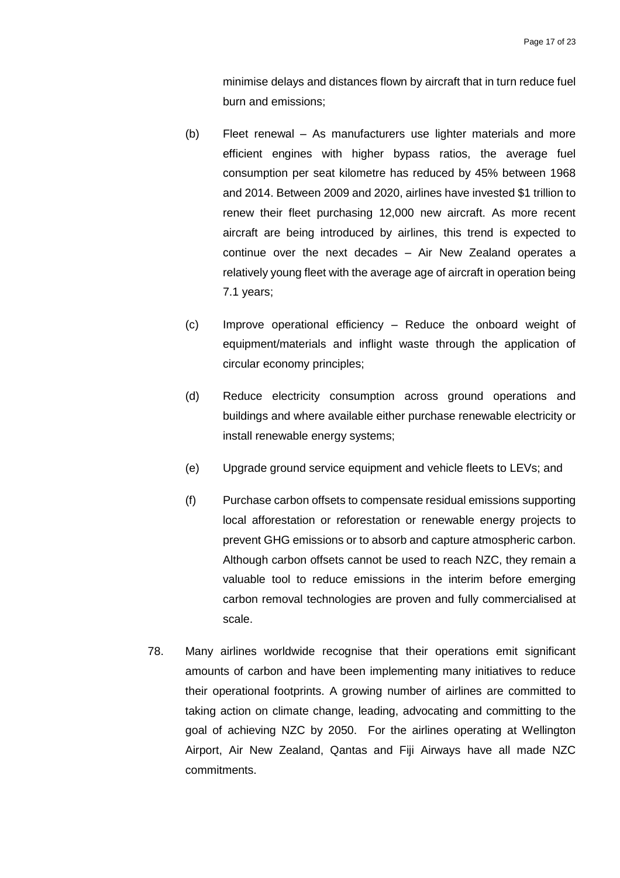minimise delays and distances flown by aircraft that in turn reduce fuel burn and emissions;

- (b) Fleet renewal As manufacturers use lighter materials and more efficient engines with higher bypass ratios, the average fuel consumption per seat kilometre has reduced by 45% between 1968 and 2014. Between 2009 and 2020, airlines have invested \$1 trillion to renew their fleet purchasing 12,000 new aircraft. As more recent aircraft are being introduced by airlines, this trend is expected to continue over the next decades – Air New Zealand operates a relatively young fleet with the average age of aircraft in operation being 7.1 years;
- (c) Improve operational efficiency Reduce the onboard weight of equipment/materials and inflight waste through the application of circular economy principles;
- (d) Reduce electricity consumption across ground operations and buildings and where available either purchase renewable electricity or install renewable energy systems;
- (e) Upgrade ground service equipment and vehicle fleets to LEVs; and
- (f) Purchase carbon offsets to compensate residual emissions supporting local afforestation or reforestation or renewable energy projects to prevent GHG emissions or to absorb and capture atmospheric carbon. Although carbon offsets cannot be used to reach NZC, they remain a valuable tool to reduce emissions in the interim before emerging carbon removal technologies are proven and fully commercialised at scale.
- 78. Many airlines worldwide recognise that their operations emit significant amounts of carbon and have been implementing many initiatives to reduce their operational footprints. A growing number of airlines are committed to taking action on climate change, leading, advocating and committing to the goal of achieving NZC by 2050. For the airlines operating at Wellington Airport, Air New Zealand, Qantas and Fiji Airways have all made NZC commitments.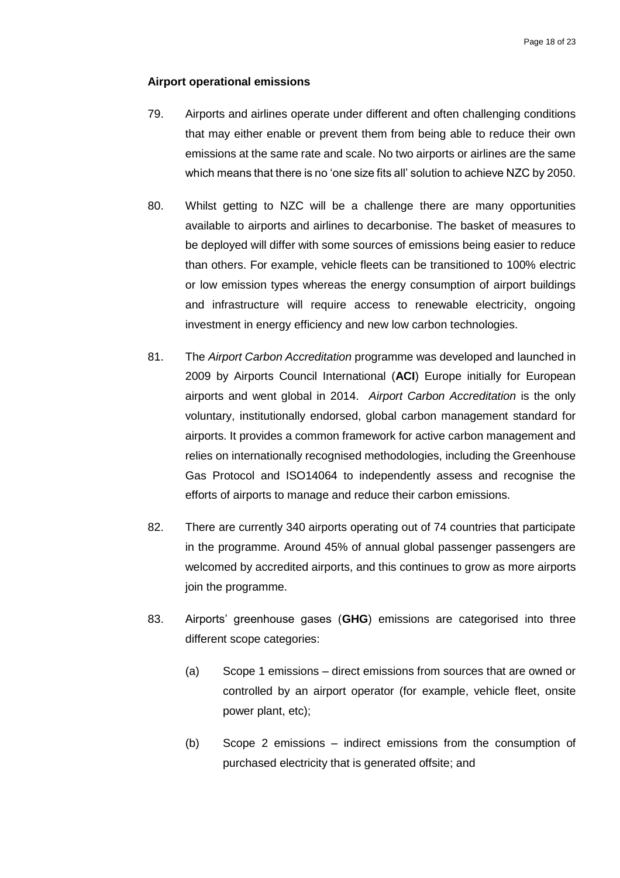#### <span id="page-19-0"></span>**Airport operational emissions**

- 79. Airports and airlines operate under different and often challenging conditions that may either enable or prevent them from being able to reduce their own emissions at the same rate and scale. No two airports or airlines are the same which means that there is no 'one size fits all' solution to achieve NZC by 2050.
- 80. Whilst getting to NZC will be a challenge there are many opportunities available to airports and airlines to decarbonise. The basket of measures to be deployed will differ with some sources of emissions being easier to reduce than others. For example, vehicle fleets can be transitioned to 100% electric or low emission types whereas the energy consumption of airport buildings and infrastructure will require access to renewable electricity, ongoing investment in energy efficiency and new low carbon technologies.
- 81. The *Airport Carbon Accreditation* programme was developed and launched in 2009 by Airports Council International (**ACI**) Europe initially for European airports and went global in 2014. *Airport Carbon Accreditation* is the only voluntary, institutionally endorsed, global carbon management standard for airports. It provides a common framework for active carbon management and relies on internationally recognised methodologies, including the Greenhouse Gas Protocol and ISO14064 to independently assess and recognise the efforts of airports to manage and reduce their carbon emissions.
- 82. There are currently 340 airports operating out of 74 countries that participate in the programme. Around 45% of annual global passenger passengers are welcomed by accredited airports, and this continues to grow as more airports join the programme.
- 83. Airports' greenhouse gases (**GHG**) emissions are categorised into three different scope categories:
	- (a) Scope 1 emissions direct emissions from sources that are owned or controlled by an airport operator (for example, vehicle fleet, onsite power plant, etc);
	- (b) Scope 2 emissions indirect emissions from the consumption of purchased electricity that is generated offsite; and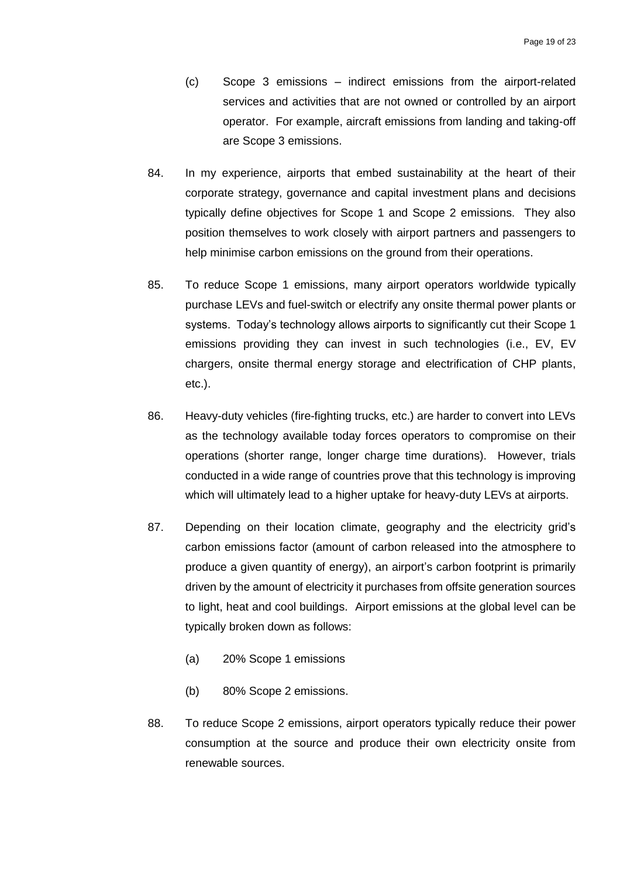- (c) Scope 3 emissions indirect emissions from the airport-related services and activities that are not owned or controlled by an airport operator. For example, aircraft emissions from landing and taking-off are Scope 3 emissions.
- 84. In my experience, airports that embed sustainability at the heart of their corporate strategy, governance and capital investment plans and decisions typically define objectives for Scope 1 and Scope 2 emissions. They also position themselves to work closely with airport partners and passengers to help minimise carbon emissions on the ground from their operations.
- 85. To reduce Scope 1 emissions, many airport operators worldwide typically purchase LEVs and fuel-switch or electrify any onsite thermal power plants or systems. Today's technology allows airports to significantly cut their Scope 1 emissions providing they can invest in such technologies (i.e., EV, EV chargers, onsite thermal energy storage and electrification of CHP plants, etc.).
- 86. Heavy-duty vehicles (fire-fighting trucks, etc.) are harder to convert into LEVs as the technology available today forces operators to compromise on their operations (shorter range, longer charge time durations). However, trials conducted in a wide range of countries prove that this technology is improving which will ultimately lead to a higher uptake for heavy-duty LEVs at airports.
- 87. Depending on their location climate, geography and the electricity grid's carbon emissions factor (amount of carbon released into the atmosphere to produce a given quantity of energy), an airport's carbon footprint is primarily driven by the amount of electricity it purchases from offsite generation sources to light, heat and cool buildings. Airport emissions at the global level can be typically broken down as follows:
	- (a) 20% Scope 1 emissions
	- (b) 80% Scope 2 emissions.
- 88. To reduce Scope 2 emissions, airport operators typically reduce their power consumption at the source and produce their own electricity onsite from renewable sources.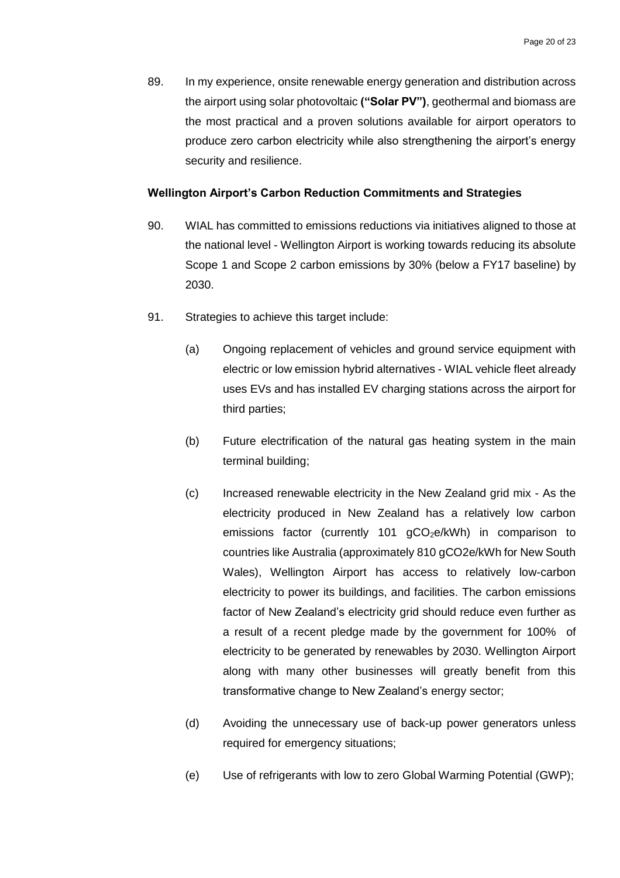89. In my experience, onsite renewable energy generation and distribution across the airport using solar photovoltaic **("Solar PV")**, geothermal and biomass are the most practical and a proven solutions available for airport operators to produce zero carbon electricity while also strengthening the airport's energy security and resilience.

#### <span id="page-21-0"></span>**Wellington Airport's Carbon Reduction Commitments and Strategies**

- 90. WIAL has committed to emissions reductions via initiatives aligned to those at the national level - Wellington Airport is working towards reducing its absolute Scope 1 and Scope 2 carbon emissions by 30% (below a FY17 baseline) by 2030.
- 91. Strategies to achieve this target include:
	- (a) Ongoing replacement of vehicles and ground service equipment with electric or low emission hybrid alternatives - WIAL vehicle fleet already uses EVs and has installed EV charging stations across the airport for third parties;
	- (b) Future electrification of the natural gas heating system in the main terminal building;
	- (c) Increased renewable electricity in the New Zealand grid mix As the electricity produced in New Zealand has a relatively low carbon emissions factor (currently 101  $qCO<sub>2</sub>e/kWh$ ) in comparison to countries like Australia (approximately 810 gCO2e/kWh for New South Wales), Wellington Airport has access to relatively low-carbon electricity to power its buildings, and facilities. The carbon emissions factor of New Zealand's electricity grid should reduce even further as a result of a recent pledge made by the government for 100% of electricity to be generated by renewables by 2030. Wellington Airport along with many other businesses will greatly benefit from this transformative change to New Zealand's energy sector;
	- (d) Avoiding the unnecessary use of back-up power generators unless required for emergency situations;
	- (e) Use of refrigerants with low to zero Global Warming Potential (GWP);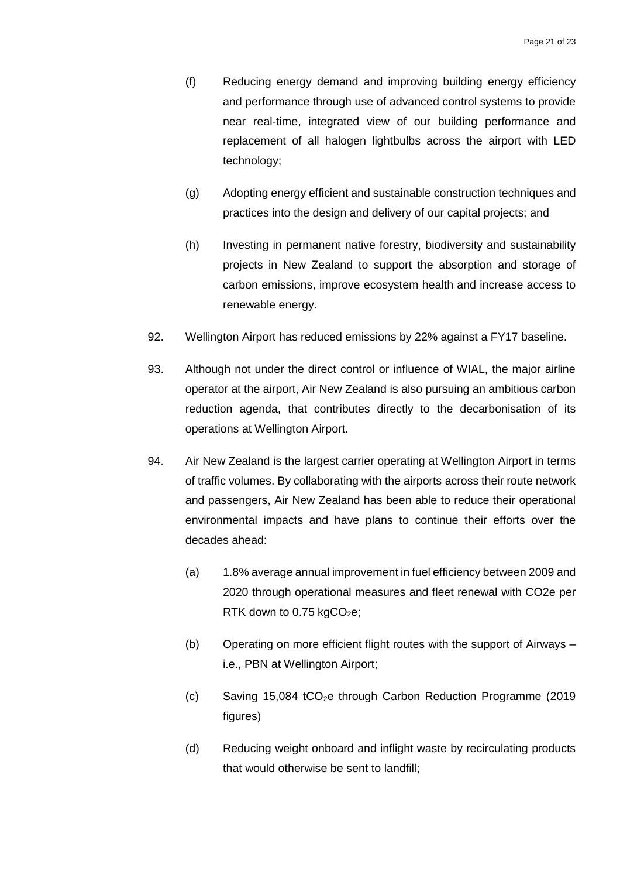- (f) Reducing energy demand and improving building energy efficiency and performance through use of advanced control systems to provide near real-time, integrated view of our building performance and replacement of all halogen lightbulbs across the airport with LED technology;
- (g) Adopting energy efficient and sustainable construction techniques and practices into the design and delivery of our capital projects; and
- (h) Investing in permanent native forestry, biodiversity and sustainability projects in New Zealand to support the absorption and storage of carbon emissions, improve ecosystem health and increase access to renewable energy.
- 92. Wellington Airport has reduced emissions by 22% against a FY17 baseline.
- 93. Although not under the direct control or influence of WIAL, the major airline operator at the airport, Air New Zealand is also pursuing an ambitious carbon reduction agenda, that contributes directly to the decarbonisation of its operations at Wellington Airport.
- 94. Air New Zealand is the largest carrier operating at Wellington Airport in terms of traffic volumes. By collaborating with the airports across their route network and passengers, Air New Zealand has been able to reduce their operational environmental impacts and have plans to continue their efforts over the decades ahead:
	- (a) 1.8% average annual improvement in fuel efficiency between 2009 and 2020 through operational measures and fleet renewal with CO2e per RTK down to 0.75 kg $CO<sub>2</sub>e$ ;
	- (b) Operating on more efficient flight routes with the support of Airways i.e., PBN at Wellington Airport;
	- $\text{c})$  Saving 15,084 tCO<sub>2</sub>e through Carbon Reduction Programme (2019) figures)
	- (d) Reducing weight onboard and inflight waste by recirculating products that would otherwise be sent to landfill;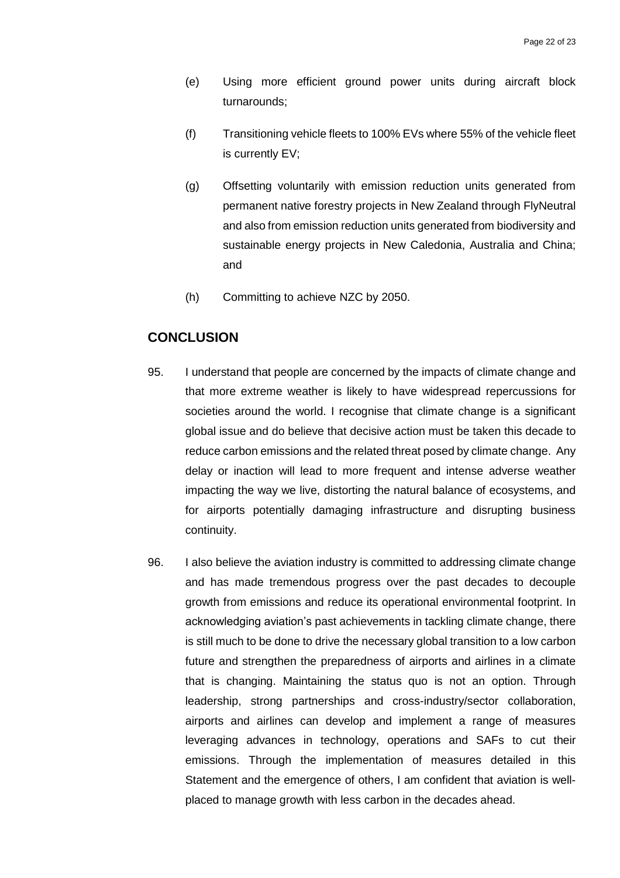- (e) Using more efficient ground power units during aircraft block turnarounds;
- (f) Transitioning vehicle fleets to 100% EVs where 55% of the vehicle fleet is currently EV;
- (g) Offsetting voluntarily with emission reduction units generated from permanent native forestry projects in New Zealand through FlyNeutral and also from emission reduction units generated from biodiversity and sustainable energy projects in New Caledonia, Australia and China; and
- (h) Committing to achieve NZC by 2050.

# <span id="page-23-0"></span>**CONCLUSION**

- 95. I understand that people are concerned by the impacts of climate change and that more extreme weather is likely to have widespread repercussions for societies around the world. I recognise that climate change is a significant global issue and do believe that decisive action must be taken this decade to reduce carbon emissions and the related threat posed by climate change. Any delay or inaction will lead to more frequent and intense adverse weather impacting the way we live, distorting the natural balance of ecosystems, and for airports potentially damaging infrastructure and disrupting business continuity.
- 96. I also believe the aviation industry is committed to addressing climate change and has made tremendous progress over the past decades to decouple growth from emissions and reduce its operational environmental footprint. In acknowledging aviation's past achievements in tackling climate change, there is still much to be done to drive the necessary global transition to a low carbon future and strengthen the preparedness of airports and airlines in a climate that is changing. Maintaining the status quo is not an option. Through leadership, strong partnerships and cross-industry/sector collaboration, airports and airlines can develop and implement a range of measures leveraging advances in technology, operations and SAFs to cut their emissions. Through the implementation of measures detailed in this Statement and the emergence of others, I am confident that aviation is wellplaced to manage growth with less carbon in the decades ahead.